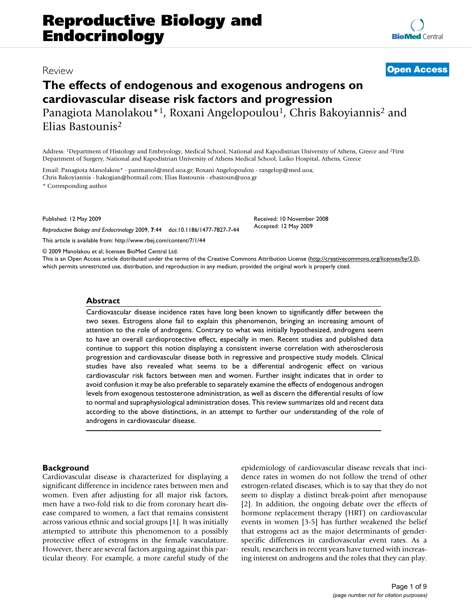# Review **[Open Access](http://www.biomedcentral.com/info/about/charter/)**

# **The effects of endogenous and exogenous androgens on cardiovascular disease risk factors and progression**

Panagiota Manolakou<sup>\*1</sup>, Roxani Angelopoulou<sup>1</sup>, Chris Bakoyiannis<sup>2</sup> and Elias Bastounis2

Address: 1Department of Histology and Embryology, Medical School, National and Kapodistrian University of Athens, Greece and 2First Department of Surgery, National and Kapodistrian University of Athens Medical School, Laiko Hospital, Athens, Greece

Email: Panagiota Manolakou\* - panmanol@med.uoa.gr; Roxani Angelopoulou - rangelop@med.uoa;

Chris Bakoyiannis - bakogian@hotmail.com; Elias Bastounis - ebastoun@uoa.gr

\* Corresponding author

Published: 12 May 2009

*Reproductive Biology and Endocrinology* 2009, **7**:44 doi:10.1186/1477-7827-7-44

[This article is available from: http://www.rbej.com/content/7/1/44](http://www.rbej.com/content/7/1/44)

© 2009 Manolakou et al; licensee BioMed Central Ltd.

This is an Open Access article distributed under the terms of the Creative Commons Attribution License [\(http://creativecommons.org/licenses/by/2.0\)](http://creativecommons.org/licenses/by/2.0), which permits unrestricted use, distribution, and reproduction in any medium, provided the original work is properly cited.

#### **Abstract**

Cardiovascular disease incidence rates have long been known to significantly differ between the two sexes. Estrogens alone fail to explain this phenomenon, bringing an increasing amount of attention to the role of androgens. Contrary to what was initially hypothesized, androgens seem to have an overall cardioprotective effect, especially in men. Recent studies and published data continue to support this notion displaying a consistent inverse correlation with atherosclerosis progression and cardiovascular disease both in regressive and prospective study models. Clinical studies have also revealed what seems to be a differential androgenic effect on various cardiovascular risk factors between men and women. Further insight indicates that in order to avoid confusion it may be also preferable to separately examine the effects of endogenous androgen levels from exogenous testosterone administration, as well as discern the differential results of low to normal and supraphysiological administration doses. This review summarizes old and recent data according to the above distinctions, in an attempt to further our understanding of the role of androgens in cardiovascular disease.

# **Background**

Cardiovascular disease is characterized for displaying a significant difference in incidence rates between men and women. Even after adjusting for all major risk factors, men have a two-fold risk to die from coronary heart disease compared to women, a fact that remains consistent across various ethnic and social groups [1]. It was initially attempted to attribute this phenomenon to a possibly protective effect of estrogens in the female vasculature. However, there are several factors arguing against this particular theory. For example, a more careful study of the epidemiology of cardiovascular disease reveals that incidence rates in women do not follow the trend of other estrogen-related diseases, which is to say that they do not seem to display a distinct break-point after menopause [2]. In addition, the ongoing debate over the effects of hormone replacement therapy (HRT) on cardiovascular events in women [3-5] has further weakened the belief that estrogens act as the major determinants of genderspecific differences in cardiovascular event rates. As a result, researchers in recent years have turned with increasing interest on androgens and the roles that they can play.

Accepted: 12 May 2009

Received: 10 November 2008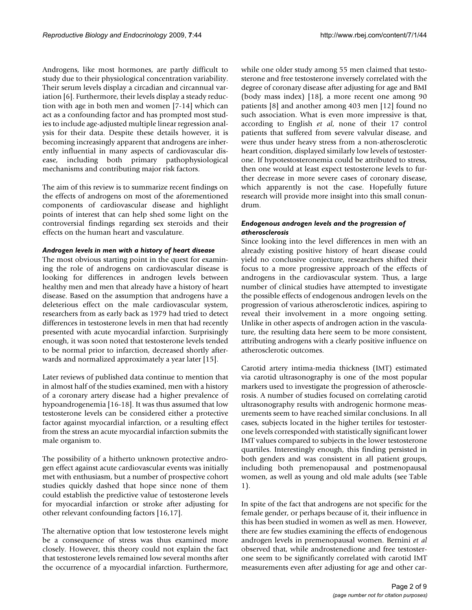Androgens, like most hormones, are partly difficult to study due to their physiological concentration variability. Their serum levels display a circadian and circannual variation [6]. Furthermore, their levels display a steady reduction with age in both men and women [7-14] which can act as a confounding factor and has prompted most studies to include age-adjusted multiple linear regression analysis for their data. Despite these details however, it is becoming increasingly apparent that androgens are inherently influential in many aspects of cardiovascular disease, including both primary pathophysiological mechanisms and contributing major risk factors.

The aim of this review is to summarize recent findings on the effects of androgens on most of the aforementioned components of cardiovascular disease and highlight points of interest that can help shed some light on the controversial findings regarding sex steroids and their effects on the human heart and vasculature.

#### *Androgen levels in men with a history of heart disease*

The most obvious starting point in the quest for examining the role of androgens on cardiovascular disease is looking for differences in androgen levels between healthy men and men that already have a history of heart disease. Based on the assumption that androgens have a deleterious effect on the male cardiovascular system, researchers from as early back as 1979 had tried to detect differences in testosterone levels in men that had recently presented with acute myocardial infarction. Surprisingly enough, it was soon noted that testosterone levels tended to be normal prior to infarction, decreased shortly afterwards and normalized approximately a year later [15].

Later reviews of published data continue to mention that in almost half of the studies examined, men with a history of a coronary artery disease had a higher prevalence of hypoandrogenemia [16-18]. It was thus assumed that low testosterone levels can be considered either a protective factor against myocardial infarction, or a resulting effect from the stress an acute myocardial infarction submits the male organism to.

The possibility of a hitherto unknown protective androgen effect against acute cardiovascular events was initially met with enthusiasm, but a number of prospective cohort studies quickly dashed that hope since none of them could establish the predictive value of testosterone levels for myocardial infarction or stroke after adjusting for other relevant confounding factors [16,17].

The alternative option that low testosterone levels might be a consequence of stress was thus examined more closely. However, this theory could not explain the fact that testosterone levels remained low several months after the occurrence of a myocardial infarction. Furthermore,

while one older study among 55 men claimed that testosterone and free testosterone inversely correlated with the degree of coronary disease after adjusting for age and BMI (body mass index) [18], a more recent one among 90 patients [8] and another among 403 men [12] found no such association. What is even more impressive is that, according to English *et al*, none of their 17 control patients that suffered from severe valvular disease, and were thus under heavy stress from a non-atherosclerotic heart condition, displayed similarly low levels of testosterone. If hypotestosteronemia could be attributed to stress, then one would at least expect testosterone levels to further decrease in more severe cases of coronary disease, which apparently is not the case. Hopefully future research will provide more insight into this small conundrum.

### *Endogenous androgen levels and the progression of atherosclerosis*

Since looking into the level differences in men with an already existing positive history of heart disease could yield no conclusive conjecture, researchers shifted their focus to a more progressive approach of the effects of androgens in the cardiovascular system. Thus, a large number of clinical studies have attempted to investigate the possible effects of endogenous androgen levels on the progression of various atherosclerotic indices, aspiring to reveal their involvement in a more ongoing setting. Unlike in other aspects of androgen action in the vasculature, the resulting data here seem to be more consistent, attributing androgens with a clearly positive influence on atherosclerotic outcomes.

Carotid artery intima-media thickness (IMT) estimated via carotid ultrasonography is one of the most popular markers used to investigate the progression of atherosclerosis. A number of studies focused on correlating carotid ultrasonography results with androgenic hormone measurements seem to have reached similar conclusions. In all cases, subjects located in the higher tertiles for testosterone levels corresponded with statistically significant lower IMT values compared to subjects in the lower testosterone quartiles. Interestingly enough, this finding persisted in both genders and was consistent in all patient groups, including both premenopausal and postmenopausal women, as well as young and old male adults (see Table 1).

In spite of the fact that androgens are not specific for the female gender, or perhaps because of it, their influence in this has been studied in women as well as men. However, there are few studies examining the effects of endogenous androgen levels in premenopausal women. Bernini *et al* observed that, while androstenedione and free testosterone seem to be significantly correlated with carotid IMT measurements even after adjusting for age and other car-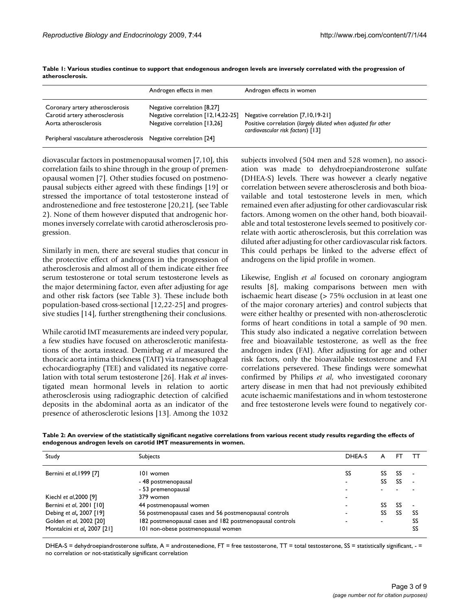|                                                                  | Androgen effects in men            | Androgen effects in women                                                                          |
|------------------------------------------------------------------|------------------------------------|----------------------------------------------------------------------------------------------------|
| Coronary artery atherosclerosis                                  | Negative correlation [8,27]        |                                                                                                    |
| Carotid artery atherosclerosis                                   | Negative correlation [12,14,22-25] | Negative correlation [7,10,19-21]                                                                  |
| Aorta atherosclerosis                                            | Negative correlation [13,26]       | Positive correlation (largely diluted when adjusted for other<br>cardiovascular risk factors) [13] |
| Peripheral vasculature atherosclerosis Negative correlation [24] |                                    |                                                                                                    |

**Table 1: Various studies continue to support that endogenous androgen levels are inversely correlated with the progression of atherosclerosis.**

diovascular factors in postmenopausal women [7,10], this correlation fails to shine through in the group of premenopausal women [7]. Other studies focused on postmenopausal subjects either agreed with these findings [19] or stressed the importance of total testosterone instead of androstenedione and free testosterone [20,21], (see Table 2). None of them however disputed that androgenic hormones inversely correlate with carotid atherosclerosis progression.

Similarly in men, there are several studies that concur in the protective effect of androgens in the progression of atherosclerosis and almost all of them indicate either free serum testosterone or total serum testosterone levels as the major determining factor, even after adjusting for age and other risk factors (see Table 3). These include both population-based cross-sectional [12,22-25] and progressive studies [14], further strengthening their conclusions.

While carotid IMT measurements are indeed very popular, a few studies have focused on atherosclerotic manifestations of the aorta instead. Demirbag *et al* measured the thoracic aorta intima thickness (TAIT) via transesophageal echocardiography (TEE) and validated its negative correlation with total serum testosterone [26]. Hak *et al* investigated mean hormonal levels in relation to aortic atherosclerosis using radiographic detection of calcified deposits in the abdominal aorta as an indicator of the presence of atherosclerotic lesions [13]. Among the 1032

subjects involved (504 men and 528 women), no association was made to dehydroepiandrosterone sulfate (DHEA-S) levels. There was however a clearly negative correlation between severe atherosclerosis and both bioavailable and total testosterone levels in men, which remained even after adjusting for other cardiovascular risk factors. Among women on the other hand, both bioavailable and total testosterone levels seemed to positively correlate with aortic atherosclerosis, but this correlation was diluted after adjusting for other cardiovascular risk factors. This could perhaps be linked to the adverse effect of androgens on the lipid profile in women.

Likewise, English *et al* focused on coronary angiogram results [8], making comparisons between men with ischaemic heart disease (> 75% occlusion in at least one of the major coronary arteries) and control subjects that were either healthy or presented with non-atherosclerotic forms of heart conditions in total a sample of 90 men. This study also indicated a negative correlation between free and bioavailable testosterone, as well as the free androgen index (FAI). After adjusting for age and other risk factors, only the bioavailable testosterone and FAI correlations persevered. These findings were somewhat confirmed by Philips *et al*, who investigated coronary artery disease in men that had not previously exhibited acute ischaemic manifestations and in whom testosterone and free testosterone levels were found to negatively cor-

**Table 2: An overview of the statistically significant negative correlations from various recent study results regarding the effects of endogenous androgen levels on carotid IMT measurements in women.**

| Study                       | Subjects                                                 | DHEA-S | A  |    |     |
|-----------------------------|----------------------------------------------------------|--------|----|----|-----|
|                             |                                                          |        |    |    |     |
| Bernini et al, 1999 [7]     | 101 women                                                | SS     | SS | SS |     |
|                             | - 48 postmenopausal                                      |        | SS | SS |     |
|                             | - 53 premenopausal                                       |        |    |    |     |
| Kiechl et al, 2000 [9]      | 379 women                                                |        |    |    |     |
| Bernini et al, 2001 [10]    | 44 postmenopausal women                                  |        | ß  | SS |     |
| Debing et al, 2007 [19]     | 56 postmenopausal cases and 56 postmenopausal controls   |        | SS | SS | -SS |
| Golden et al, 2002 [20]     | 182 postmenopausal cases and 182 postmenopausal controls |        |    |    | SS  |
| Montalcini et al, 2007 [21] | 101 non-obese postmenopausal women                       |        |    |    | SS  |

DHEA-S = dehydroepiandrosterone sulfate, A = androstenedione, FT = free testosterone, TT = total testosterone, SS = statistically significant, - = no correlation or not-statistically significant correlation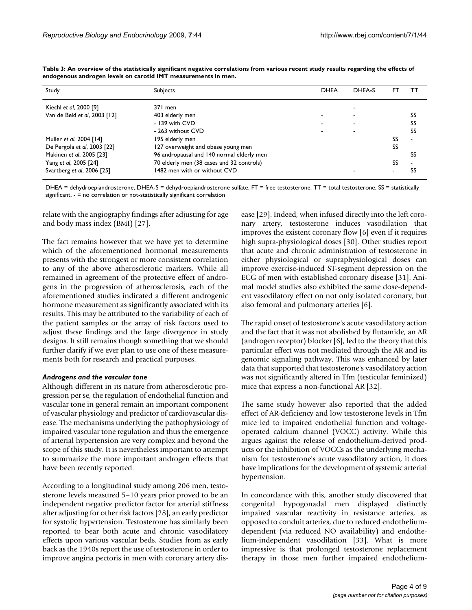| Study                        | <b>Subjects</b>                           | <b>DHEA</b>              | DHEA-S | FТ |    |
|------------------------------|-------------------------------------------|--------------------------|--------|----|----|
| Kiechl et al, 2000 [9]       | 371 men                                   |                          |        |    |    |
| Van de Beld et al, 2003 [12] | 403 elderly men                           |                          |        |    | SS |
|                              | - 139 with CVD                            | $\overline{\phantom{a}}$ |        |    | SS |
|                              | - 263 without CVD                         | $\overline{\phantom{a}}$ |        |    | SS |
| Muller et al, 2004 [14]      | 195 elderly men                           |                          |        | SS |    |
| De Pergola et al, 2003 [22]  | 127 overweight and obese young men        |                          |        | SS |    |
| Makinen et al, 2005 [23]     | 96 andropausal and 140 normal elderly men |                          |        |    | SS |
| Yang et al, 2005 [24]        | 70 elderly men (38 cases and 32 controls) |                          |        | SS |    |
| Svartberg et al, 2006 [25]   | 1482 men with or without CVD              |                          |        |    | SS |

**Table 3: An overview of the statistically significant negative correlations from various recent study results regarding the effects of endogenous androgen levels on carotid IMT measurements in men.**

DHEA = dehydroepiandrosterone, DHEA-S = dehydroepiandrosterone sulfate, FT = free testosterone, TT = total testosterone, SS = statistically significant, - = no correlation or not-statistically significant correlation

relate with the angiography findings after adjusting for age and body mass index (BMI) [27].

The fact remains however that we have yet to determine which of the aforementioned hormonal measurements presents with the strongest or more consistent correlation to any of the above atherosclerotic markers. While all remained in agreement of the protective effect of androgens in the progression of atherosclerosis, each of the aforementioned studies indicated a different androgenic hormone measurement as significantly associated with its results. This may be attributed to the variability of each of the patient samples or the array of risk factors used to adjust these findings and the large divergence in study designs. It still remains though something that we should further clarify if we ever plan to use one of these measurements both for research and practical purposes.

#### *Androgens and the vascular tone*

Although different in its nature from atherosclerotic progression per se, the regulation of endothelial function and vascular tone in general remain an important component of vascular physiology and predictor of cardiovascular disease. The mechanisms underlying the pathophysiology of impaired vascular tone regulation and thus the emergence of arterial hypertension are very complex and beyond the scope of this study. It is nevertheless important to attempt to summarize the more important androgen effects that have been recently reported.

According to a longitudinal study among 206 men, testosterone levels measured 5–10 years prior proved to be an independent negative predictor factor for arterial stiffness after adjusting for other risk factors [28], an early predictor for systolic hypertension. Testosterone has similarly been reported to bear both acute and chronic vasodilatory effects upon various vascular beds. Studies from as early back as the 1940s report the use of testosterone in order to improve angina pectoris in men with coronary artery disease [29]. Indeed, when infused directly into the left coronary artery, testosterone induces vasodilation that improves the existent coronary flow [6] even if it requires high supra-physiological doses [30]. Other studies report that acute and chronic administration of testosterone in either physiological or supraphysiological doses can improve exercise-induced ST-segment depression on the ECG of men with established coronary disease [31]. Animal model studies also exhibited the same dose-dependent vasodilatory effect on not only isolated coronary, but also femoral and pulmonary arteries [6].

The rapid onset of testosterone's acute vasodilatory action and the fact that it was not abolished by flutamide, an AR (androgen receptor) blocker [6], led to the theory that this particular effect was not mediated through the AR and its genomic signaling pathway. This was enhanced by later data that supported that testosterone's vasodilatory action was not significantly altered in Tfm (testicular feminized) mice that express a non-functional AR [32].

The same study however also reported that the added effect of AR-deficiency and low testosterone levels in Tfm mice led to impaired endothelial function and voltageoperated calcium channel (VOCC) activity. While this argues against the release of endothelium-derived products or the inhibition of VOCCs as the underlying mechanism for testosterone's acute vasodilatory action, it does have implications for the development of systemic arterial hypertension.

In concordance with this, another study discovered that congenital hypogonadal men displayed distinctly impaired vascular reactivity in resistance arteries, as opposed to conduit arteries, due to reduced endotheliumdependent (via reduced NO availability) and endothelium-independent vasodilation [33]. What is more impressive is that prolonged testosterone replacement therapy in those men further impaired endothelium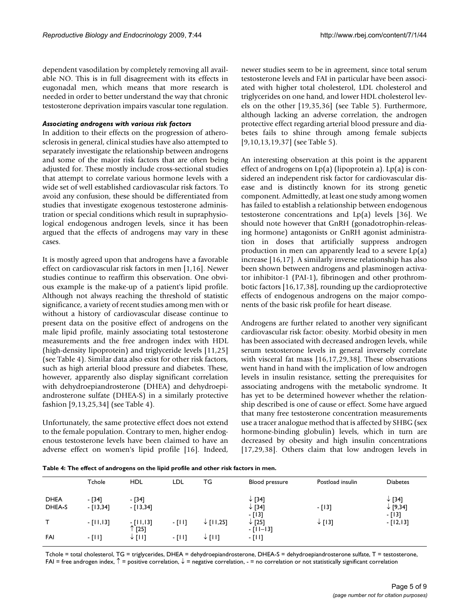dependent vasodilation by completely removing all available NO. This is in full disagreement with its effects in eugonadal men, which means that more research is needed in order to better understand the way that chronic testosterone deprivation impairs vascular tone regulation.

#### *Associating androgens with various risk factors*

In addition to their effects on the progression of atherosclerosis in general, clinical studies have also attempted to separately investigate the relationship between androgens and some of the major risk factors that are often being adjusted for. These mostly include cross-sectional studies that attempt to correlate various hormone levels with a wide set of well established cardiovascular risk factors. To avoid any confusion, these should be differentiated from studies that investigate exogenous testosterone administration or special conditions which result in supraphysiological endogenous androgen levels, since it has been argued that the effects of androgens may vary in these cases.

It is mostly agreed upon that androgens have a favorable effect on cardiovascular risk factors in men [1,16]. Newer studies continue to reaffirm this observation. One obvious example is the make-up of a patient's lipid profile. Although not always reaching the threshold of statistic significance, a variety of recent studies among men with or without a history of cardiovascular disease continue to present data on the positive effect of androgens on the male lipid profile, mainly associating total testosterone measurements and the free androgen index with HDL (high-density lipoprotein) and triglyceride levels [11,25] (see Table 4). Similar data also exist for other risk factors, such as high arterial blood pressure and diabetes. These, however, apparently also display significant correlation with dehydroepiandrosterone (DHEA) and dehydroepiandrosterone sulfate (DHEA-S) in a similarly protective fashion [9,13,25,34] (see Table 4).

Unfortunately, the same protective effect does not extend to the female population. Contrary to men, higher endogenous testosterone levels have been claimed to have an adverse effect on women's lipid profile [16]. Indeed,

newer studies seem to be in agreement, since total serum testosterone levels and FAI in particular have been associated with higher total cholesterol, LDL cholesterol and triglycerides on one hand, and lower HDL cholesterol levels on the other [19,35,36] (see Table 5). Furthermore, although lacking an adverse correlation, the androgen protective effect regarding arterial blood pressure and diabetes fails to shine through among female subjects [9,10,13,19,37] (see Table 5).

An interesting observation at this point is the apparent effect of androgens on  $Lp(a)$  (lipoprotein a).  $Lp(a)$  is considered an independent risk factor for cardiovascular disease and is distinctly known for its strong genetic component. Admittedly, at least one study among women has failed to establish a relationship between endogenous testosterone concentrations and Lp(a) levels [36]. We should note however that GnRH (gonadotrophin-releasing hormone) antagonists or GnRH agonist administration in doses that artificially suppress androgen production in men can apparently lead to a severe Lp(a) increase [16,17]. A similarly inverse relationship has also been shown between androgens and plasminogen activator inhibitor-1 (PAI-1), fibrinogen and other prothrombotic factors [16,17,38], rounding up the cardioprotective effects of endogenous androgens on the major components of the basic risk profile for heart disease.

Androgens are further related to another very significant cardiovascular risk factor: obesity. Morbid obesity in men has been associated with decreased androgen levels, while serum testosterone levels in general inversely correlate with visceral fat mass [16,17,29,38]. These observations went hand in hand with the implication of low androgen levels in insulin resistance, setting the prerequisites for associating androgens with the metabolic syndrome. It has yet to be determined however whether the relationship described is one of cause or effect. Some have argued that many free testosterone concentration measurements use a tracer analogue method that is affected by SHBG (sex hormone-binding globulin) levels, which in turn are decreased by obesity and high insulin concentrations [17,29,38]. Others claim that low androgen levels in

**Table 4: The effect of androgens on the lipid profile and other risk factors in men.**

|                       | Tchole               | <b>HDL</b>                    | <b>LDL</b> | TG                   | Blood pressure                                   | Postload insulin  | <b>Diabetes</b>                                    |
|-----------------------|----------------------|-------------------------------|------------|----------------------|--------------------------------------------------|-------------------|----------------------------------------------------|
| <b>DHEA</b><br>DHEA-S | - [34]<br>$-[13,34]$ | - [34]<br>$-[13,34]$          |            |                      | $\downarrow$ [34]<br>$\downarrow$ [34]<br>- [13] | $-[13]$           | $\downarrow$ [34]<br>$\downarrow$ [9,34]<br>- [13] |
|                       | $-[11,13]$           | $-[11,13]$<br>$\uparrow$ [25] | $-[11]$    | $\downarrow$ [11,25] | $\downarrow$ [25]<br>$-[11-13]$                  | $\downarrow$ [13] | $-[12,13]$                                         |
| FAI                   | $-$ [11]             | $\downarrow$ [11]             | $-$ [11]   | $\downarrow$ [11]    | - [11]                                           |                   |                                                    |

Tchole = total cholesterol, TG = triglycerides, DHEA = dehydroepiandrosterone, DHEA-S = dehydroepiandrosterone sulfate, T = testosterone, FAI = free androgen index,  $\uparrow$  = positive correlation,  $\downarrow$  = negative correlation, - = no correlation or not statistically significant correlation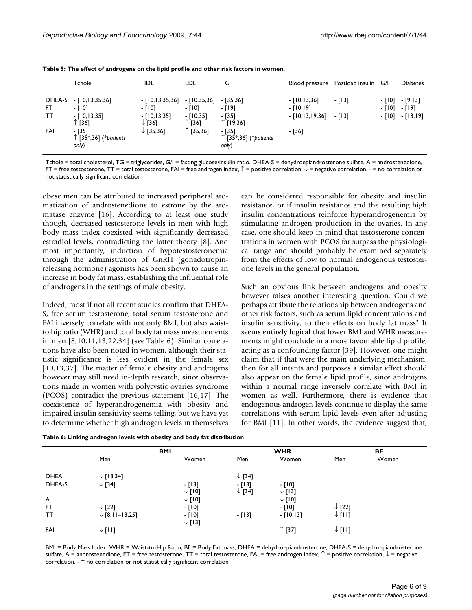|                            | Tchole                                                               | <b>HDL</b>                                                                                    | LDL                                                                     | TG                                                               | Blood pressure                                                 | Postload insulin G/I |                            | <b>Diabetes</b>                  |
|----------------------------|----------------------------------------------------------------------|-----------------------------------------------------------------------------------------------|-------------------------------------------------------------------------|------------------------------------------------------------------|----------------------------------------------------------------|----------------------|----------------------------|----------------------------------|
| DHEA-S<br>FT<br>TT.<br>FAI | $-[10, 13, 35, 36]$<br>- [10]<br>$-[10, 13, 35]$<br>↑ [36]<br>- [35] | $-[10, 13, 35, 36]$<br>- [10]<br>$-[10, 13, 35]$<br>$\downarrow$ [36]<br>$\downarrow$ [35,36] | $-[10,35,36]$<br>$-1101$<br>$-$ [10,35]<br>$[36]$<br>$\uparrow$ [35,36] | $-$ [35,36]<br>- [19]<br>$-1351$<br>$\uparrow$ [19,36]<br>- [35] | $-[10, 13, 36]$<br>$-[10,19]$<br>$-[10, 13, 19, 36]$<br>- [36] | $-[13]$<br>- [13]    | - [10]<br>- [10]<br>- [10] | $-[9,13]$<br>- [19]<br>- [13,19] |
|                            | $\uparrow$ [35*,36] (*patients<br>only)                              |                                                                                               |                                                                         | $\uparrow$ [35*,36] (*patients<br>only)                          |                                                                |                      |                            |                                  |

**Table 5: The effect of androgens on the lipid profile and other risk factors in women.**

Tchole = total cholesterol, TG = triglycerides, G/I = fasting glucose/insulin ratio, DHEA-S = dehydroepiandrosterone sulfate, A = androstenedione, FT = free testosterone, TT = total testosterone, FAI = free androgen index,  $\uparrow$  = positive correlation,  $\downarrow$  = negative correlation, - = no correlation or not statistically significant correlation

obese men can be attributed to increased peripheral aromatization of androstenedione to estrone by the aromatase enzyme [16]. According to at least one study though, decreased testosterone levels in men with high body mass index coexisted with significantly decreased estradiol levels, contradicting the latter theory [8]. And most importantly, induction of hypotestosteronemia through the administration of GnRH (gonadotropinreleasing hormone) agonists has been shown to cause an increase in body fat mass, establishing the influential role of androgens in the settings of male obesity.

Indeed, most if not all recent studies confirm that DHEA-S, free serum testosterone, total serum testosterone and FAI inversely correlate with not only BMI, but also waistto hip ratio (WHR) and total body fat mass measurements in men [8,10,11,13,22,34] (see Table 6). Similar correlations have also been noted in women, although their statistic significance is less evident in the female sex [10,13,37]. The matter of female obesity and androgens however may still need in-depth research, since observations made in women with polycystic ovaries syndrome (PCOS) contradict the previous statement [16,17]. The coexistence of hyperandrogenemia with obesity and impaired insulin sensitivity seems telling, but we have yet to determine whether high androgen levels in themselves can be considered responsible for obesity and insulin resistance, or if insulin resistance and the resulting high insulin concentrations reinforce hyperandrogenemia by stimulating androgen production in the ovaries. In any case, one should keep in mind that testosterone concentrations in women with PCOS far surpass the physiological range and should probably be examined separately from the effects of low to normal endogenous testosterone levels in the general population.

Such an obvious link between androgens and obesity however raises another interesting question. Could we perhaps attribute the relationship between androgens and other risk factors, such as serum lipid concentrations and insulin sensitivity, to their effects on body fat mass? It seems entirely logical that lower BMI and WHR measurements might conclude in a more favourable lipid profile, acting as a confounding factor [39]. However, one might claim that if that were the main underlying mechanism, then for all intents and purposes a similar effect should also appear on the female lipid profile, since androgens within a normal range inversely correlate with BMI in women as well. Furthermore, there is evidence that endogenous androgen levels continue to display the same correlations with serum lipid levels even after adjusting for BMI [11]. In other words, the evidence suggest that,

| Table 6: Linking androgen levels with obesity and body fat distribution |  |  |
|-------------------------------------------------------------------------|--|--|
|-------------------------------------------------------------------------|--|--|

|             | <b>BMI</b>                      |                             | <b>WHR</b>             |                             | BF                |       |
|-------------|---------------------------------|-----------------------------|------------------------|-----------------------------|-------------------|-------|
|             | Men                             | Women                       | Men                    | Women                       | Men               | Women |
| <b>DHEA</b> | $\downarrow$ [13,34]            |                             | $\downarrow$ [34]      |                             |                   |       |
| DHEA-S      | $\downarrow$ [34]               | - [13]<br>$\uparrow$ [10]   | $-[13]$<br>$\sqrt{34}$ | - [10]<br>$\downarrow$ [13] |                   |       |
| A           |                                 | $\uparrow$ [10]             |                        | $\uparrow$ [10]             |                   |       |
| <b>FT</b>   | $\downarrow$ [22]               | - [10]                      |                        | $-[10]$                     | $\downarrow$ [22] |       |
| TΤ          | $\downarrow$ [8, I I – I 3, 25] | - [10]<br>$\downarrow$ [13] | - [13]                 | $-[10,13]$                  | $\downarrow$ [11] |       |
| FAI         | $\downarrow$ [11]               |                             |                        | $\uparrow$ [37]             | $\downarrow$ [11] |       |

BMI = Body Mass Index, WHR = Waist-to-Hip Ratio, BF = Body Fat mass, DHEA = dehydroepiandrosterone, DHEA-S = dehydroepiandrosterone sulfate, A = androstenedione, FT = free testosterone, TT = total testosterone, FAI = free androgen index,  $\uparrow$  = positive correlation,  $\downarrow$  = negative correlation, - = no correlation or not statistically significant correlation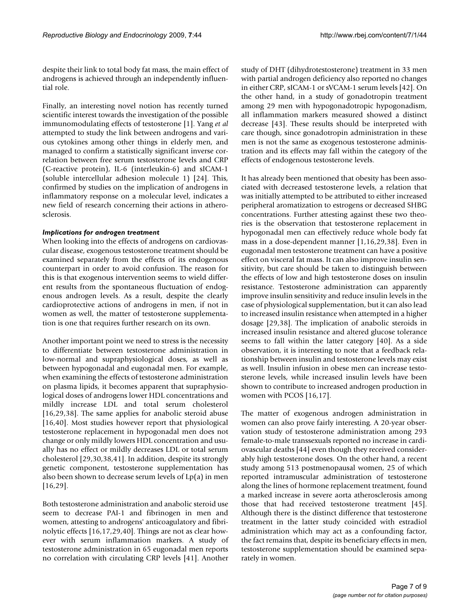despite their link to total body fat mass, the main effect of androgens is achieved through an independently influential role.

Finally, an interesting novel notion has recently turned scientific interest towards the investigation of the possible immunomodulating effects of testosterone [1]. Yang *et al* attempted to study the link between androgens and various cytokines among other things in elderly men, and managed to confirm a statistically significant inverse correlation between free serum testosterone levels and CRP (C-reactive protein), IL-6 (interleukin-6) and sICAM-1 (soluble intercellular adhesion molecule 1) [24]. This, confirmed by studies on the implication of androgens in inflammatory response on a molecular level, indicates a new field of research concerning their actions in atherosclerosis.

#### *Implications for androgen treatment*

When looking into the effects of androgens on cardiovascular disease, exogenous testosterone treatment should be examined separately from the effects of its endogenous counterpart in order to avoid confusion. The reason for this is that exogenous intervention seems to wield different results from the spontaneous fluctuation of endogenous androgen levels. As a result, despite the clearly cardioprotective actions of androgens in men, if not in women as well, the matter of testosterone supplementation is one that requires further research on its own.

Another important point we need to stress is the necessity to differentiate between testosterone administration in low-normal and supraphysiological doses, as well as between hypogonadal and eugonadal men. For example, when examining the effects of testosterone administration on plasma lipids, it becomes apparent that supraphysiological doses of androgens lower HDL concentrations and mildly increase LDL and total serum cholesterol [16,29,38]. The same applies for anabolic steroid abuse [16,40]. Most studies however report that physiological testosterone replacement in hypogonadal men does not change or only mildly lowers HDL concentration and usually has no effect or mildly decreases LDL or total serum cholesterol [29,30,38,41]. In addition, despite its strongly genetic component, testosterone supplementation has also been shown to decrease serum levels of Lp(a) in men [16,29].

Both testosterone administration and anabolic steroid use seem to decrease PAI-1 and fibrinogen in men and women, attesting to androgens' anticoagulatory and fibrinolytic effects [16,17,29,40]. Things are not as clear however with serum inflammation markers. A study of testosterone administration in 65 eugonadal men reports no correlation with circulating CRP levels [41]. Another study of DHT (dihydrotestosterone) treatment in 33 men with partial androgen deficiency also reported no changes in either CRP, sICAM-1 or sVCAM-1 serum levels [42]. On the other hand, in a study of gonadotropin treatment among 29 men with hypogonadotropic hypogonadism, all inflammation markers measured showed a distinct decrease [43]. These results should be interpreted with care though, since gonadotropin administration in these men is not the same as exogenous testosterone administration and its effects may fall within the category of the effects of endogenous testosterone levels.

It has already been mentioned that obesity has been associated with decreased testosterone levels, a relation that was initially attempted to be attributed to either increased peripheral aromatization to estrogens or decreased SHBG concentrations. Further attesting against these two theories is the observation that testosterone replacement in hypogonadal men can effectively reduce whole body fat mass in a dose-dependent manner [1,16,29,38]. Even in eugonadal men testosterone treatment can have a positive effect on visceral fat mass. It can also improve insulin sensitivity, but care should be taken to distinguish between the effects of low and high testosterone doses on insulin resistance. Testosterone administration can apparently improve insulin sensitivity and reduce insulin levels in the case of physiological supplementation, but it can also lead to increased insulin resistance when attempted in a higher dosage [29,38]. The implication of anabolic steroids in increased insulin resistance and altered glucose tolerance seems to fall within the latter category [40]. As a side observation, it is interesting to note that a feedback relationship between insulin and testosterone levels may exist as well. Insulin infusion in obese men can increase testosterone levels, while increased insulin levels have been shown to contribute to increased androgen production in women with PCOS [16,17].

The matter of exogenous androgen administration in women can also prove fairly interesting. A 20-year observation study of testosterone administration among 293 female-to-male transsexuals reported no increase in cardiovascular deaths [44] even though they received considerably high testosterone doses. On the other hand, a recent study among 513 postmenopausal women, 25 of which reported intramuscular administration of testosterone along the lines of hormone replacement treatment, found a marked increase in severe aorta atherosclerosis among those that had received testosterone treatment [45]. Although there is the distinct difference that testosterone treatment in the latter study coincided with estradiol administration which may act as a confounding factor, the fact remains that, despite its beneficiary effects in men, testosterone supplementation should be examined separately in women.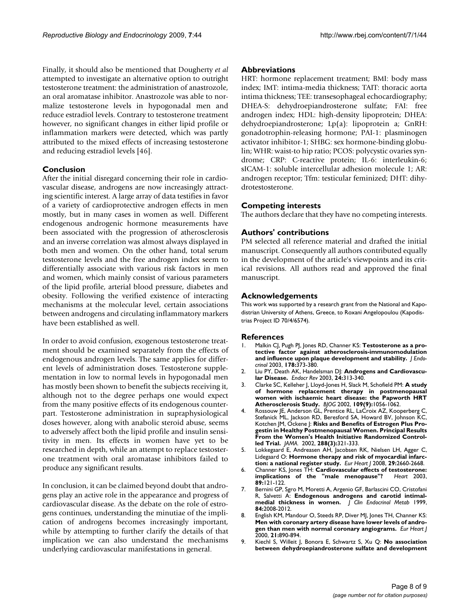Finally, it should also be mentioned that Dougherty *et al* attempted to investigate an alternative option to outright testosterone treatment: the administration of anastrozole, an oral aromatase inhibitor. Anastrozole was able to normalize testosterone levels in hypogonadal men and reduce estradiol levels. Contrary to testosterone treatment however, no significant changes in either lipid profile or inflammation markers were detected, which was partly attributed to the mixed effects of increasing testosterone and reducing estradiol levels [46].

# **Conclusion**

After the initial disregard concerning their role in cardiovascular disease, androgens are now increasingly attracting scientific interest. A large array of data testifies in favor of a variety of cardioprotective androgen effects in men mostly, but in many cases in women as well. Different endogenous androgenic hormone measurements have been associated with the progression of atherosclerosis and an inverse correlation was almost always displayed in both men and women. On the other hand, total serum testosterone levels and the free androgen index seem to differentially associate with various risk factors in men and women, which mainly consist of various parameters of the lipid profile, arterial blood pressure, diabetes and obesity. Following the verified existence of interacting mechanisms at the molecular level, certain associations between androgens and circulating inflammatory markers have been established as well.

In order to avoid confusion, exogenous testosterone treatment should be examined separately from the effects of endogenous androgen levels. The same applies for different levels of administration doses. Testosterone supplementation in low to normal levels in hypogonadal men has mostly been shown to benefit the subjects receiving it, although not to the degree perhaps one would expect from the many positive effects of its endogenous counterpart. Testosterone administration in supraphysiological doses however, along with anabolic steroid abuse, seems to adversely affect both the lipid profile and insulin sensitivity in men. Its effects in women have yet to be researched in depth, while an attempt to replace testosterone treatment with oral aromatase inhibitors failed to produce any significant results.

In conclusion, it can be claimed beyond doubt that androgens play an active role in the appearance and progress of cardiovascular disease. As the debate on the role of estrogens continues, understanding the minutiae of the implication of androgens becomes increasingly important, while by attempting to further clarify the details of that implication we can also understand the mechanisms underlying cardiovascular manifestations in general.

#### **Abbreviations**

HRT: hormone replacement treatment; BMI: body mass index; IMT: intima-media thickness; TAIT: thoracic aorta intima thickness; TEE: transesophageal echocardiography; DHEA-S: dehydroepiandrosterone sulfate; FAI: free androgen index; HDL: high-density lipoprotein; DHEA: dehydroepiandrosterone; Lp(a): lipoprotein a; GnRH: gonadotrophin-releasing hormone; PAI-1: plasminogen activator inhibitor-1; SHBG: sex hormone-binding globulin; WHR: waist-to hip ratio; PCOS: polycystic ovaries syndrome; CRP: C-reactive protein; IL-6: interleukin-6; sICAM-1: soluble intercellular adhesion molecule 1; AR: androgen receptor; Tfm: testicular feminized; DHT: dihydrotestosterone.

#### **Competing interests**

The authors declare that they have no competing interests.

# **Authors' contributions**

PM selected all reference material and drafted the initial manuscript. Consequently all authors contributed equally in the development of the article's viewpoints and its critical revisions. All authors read and approved the final manuscript.

#### **Acknowledgements**

This work was supported by a research grant from the National and Kapodistrian University of Athens, Greece, to Roxani Angelopoulou (Kapodistrias Project ID 70/4/6574).

#### **References**

- 1. Malkin CJ, Pugh PJ, Jones RD, Channer KS: [Testosterone as a pro](http://www.ncbi.nlm.nih.gov/entrez/query.fcgi?cmd=Retrieve&db=PubMed&dopt=Abstract&list_uids=12967330)**[tective factor against atherosclerosis-immunomodulation](http://www.ncbi.nlm.nih.gov/entrez/query.fcgi?cmd=Retrieve&db=PubMed&dopt=Abstract&list_uids=12967330) [and influence upon plaque development and stability.](http://www.ncbi.nlm.nih.gov/entrez/query.fcgi?cmd=Retrieve&db=PubMed&dopt=Abstract&list_uids=12967330)** *J Endocrinol* 2003, **178:**373-380.
- 2. Liu PY, Death AK, Handelsman DJ: [Androgens and Cardiovascu](http://www.ncbi.nlm.nih.gov/entrez/query.fcgi?cmd=Retrieve&db=PubMed&dopt=Abstract&list_uids=12788802)**[lar Disease.](http://www.ncbi.nlm.nih.gov/entrez/query.fcgi?cmd=Retrieve&db=PubMed&dopt=Abstract&list_uids=12788802)** *Endocr Rev* 2003, **24:**313-340.
- 3. Clarke SC, Kelleher J, Lloyd-Jones H, Slack M, Schofield PM: **[A study](http://www.ncbi.nlm.nih.gov/entrez/query.fcgi?cmd=Retrieve&db=PubMed&dopt=Abstract&list_uids=12269682) [of hormone replacement therapy in postmenopausal](http://www.ncbi.nlm.nih.gov/entrez/query.fcgi?cmd=Retrieve&db=PubMed&dopt=Abstract&list_uids=12269682) women with ischaemic heart disease: the Papworth HRT [Atherosclerosis Study.](http://www.ncbi.nlm.nih.gov/entrez/query.fcgi?cmd=Retrieve&db=PubMed&dopt=Abstract&list_uids=12269682)** *BJOG* 2002, **109(9):**1056-1062.
- 4. Rossouw JE, Anderson GL, Prentice RL, LaCroix AZ, Kooperberg C, Stefanick ML, Jackson RD, Beresford SA, Howard BV, Johnson KC, Kotchen JM, Ockene J: **[Risks and Benefits of Estrogen Plus Pro](http://www.ncbi.nlm.nih.gov/entrez/query.fcgi?cmd=Retrieve&db=PubMed&dopt=Abstract&list_uids=12117397)[gestin in Healthy Postmenopausal Women. Principal Results](http://www.ncbi.nlm.nih.gov/entrez/query.fcgi?cmd=Retrieve&db=PubMed&dopt=Abstract&list_uids=12117397) From the Women's Health Initiative Randomized Control[led Trial.](http://www.ncbi.nlm.nih.gov/entrez/query.fcgi?cmd=Retrieve&db=PubMed&dopt=Abstract&list_uids=12117397)** *JAMA.* 2002, **288(3):**321-333.
- 5. Lokkegaard E, Andreasen AH, Jacobsen RK, Nielsen LH, Agger C, Lidegaard O: **[Hormone therapy and risk of myocardial infarc](http://www.ncbi.nlm.nih.gov/entrez/query.fcgi?cmd=Retrieve&db=PubMed&dopt=Abstract&list_uids=18826989)[tion: a national register study.](http://www.ncbi.nlm.nih.gov/entrez/query.fcgi?cmd=Retrieve&db=PubMed&dopt=Abstract&list_uids=18826989)** *Eur Heart J* 2008, **29:**2660-2668.
- 6. Channer KS, Jones TH: **[Cardiovascular effects of testosterone:](http://www.ncbi.nlm.nih.gov/entrez/query.fcgi?cmd=Retrieve&db=PubMed&dopt=Abstract&list_uids=12527649) [implications of the "male menopause"?](http://www.ncbi.nlm.nih.gov/entrez/query.fcgi?cmd=Retrieve&db=PubMed&dopt=Abstract&list_uids=12527649)** *Heart* 2003, **89:**121-122.
- 7. Bernini GP, Sgro M, Moretti A, Argenio GF, Barlascini CO, Cristofani R, Salvetti A: **[Endogenous androgens and carotid intimal](http://www.ncbi.nlm.nih.gov/entrez/query.fcgi?cmd=Retrieve&db=PubMed&dopt=Abstract&list_uids=10372702)[medial thickness in women.](http://www.ncbi.nlm.nih.gov/entrez/query.fcgi?cmd=Retrieve&db=PubMed&dopt=Abstract&list_uids=10372702)** *J Clin Endocrinol Metab* 1999, **84:**2008-2012.
- 8. English KM, Mandour O, Steeds RP, Diver MJ, Jones TH, Channer KS: **[Men with coronary artery disease have lower levels of andro](http://www.ncbi.nlm.nih.gov/entrez/query.fcgi?cmd=Retrieve&db=PubMed&dopt=Abstract&list_uids=10806012)[gen than men with normal coronary angiograms.](http://www.ncbi.nlm.nih.gov/entrez/query.fcgi?cmd=Retrieve&db=PubMed&dopt=Abstract&list_uids=10806012)** *Eur Heart J* 2000, **21:**890-894.
- 9. Kiechl S, Willeit J, Bonora E, Schwartz S, Xu Q: **[No association](http://www.ncbi.nlm.nih.gov/entrez/query.fcgi?cmd=Retrieve&db=PubMed&dopt=Abstract&list_uids=10764679) [between dehydroepiandrosterone sulfate and development](http://www.ncbi.nlm.nih.gov/entrez/query.fcgi?cmd=Retrieve&db=PubMed&dopt=Abstract&list_uids=10764679)**